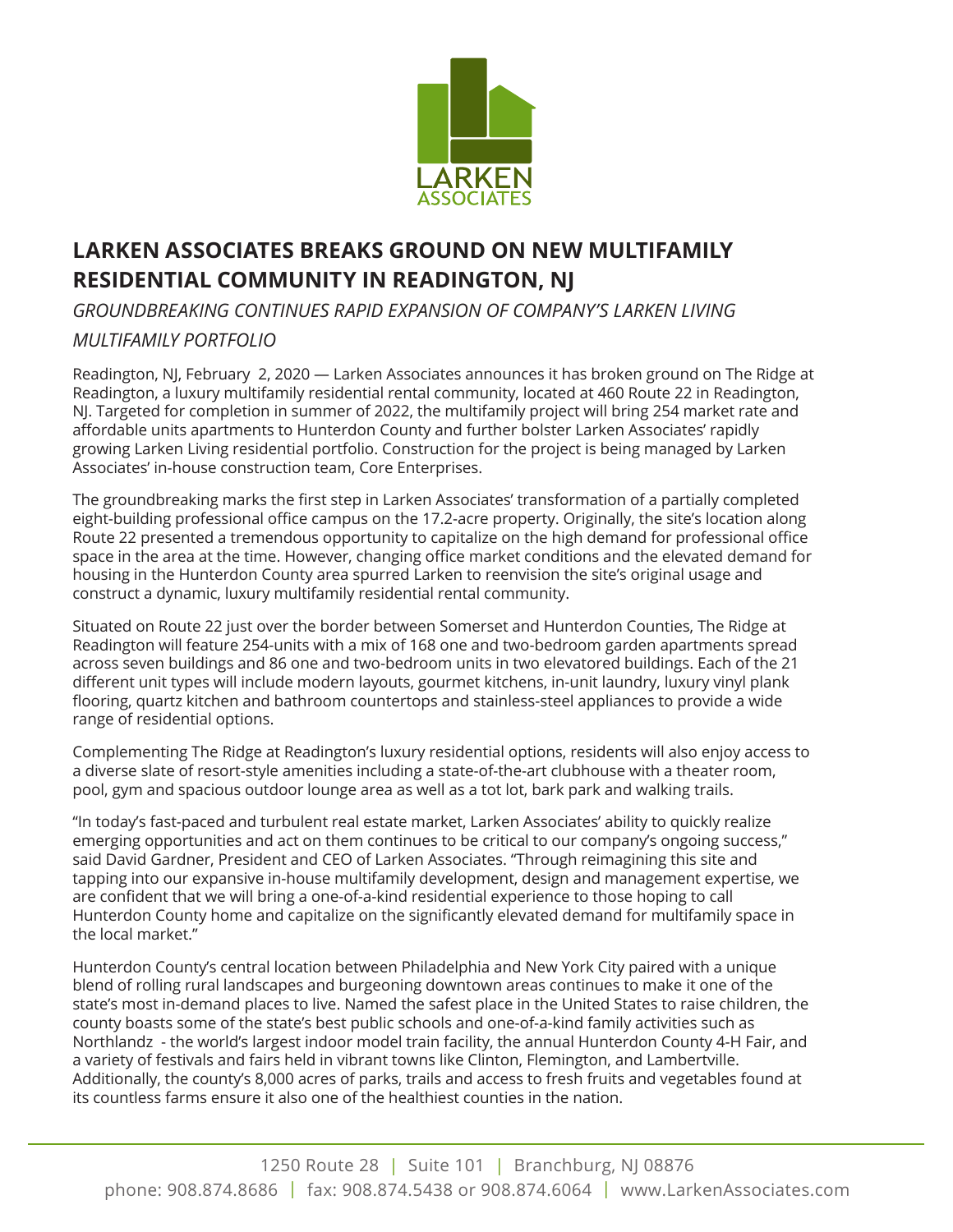

## **LARKEN ASSOCIATES BREAKS GROUND ON NEW MULTIFAMILY RESIDENTIAL COMMUNITY IN READINGTON, NJ**

*GROUNDBREAKING CONTINUES RAPID EXPANSION OF COMPANY'S LARKEN LIVING* 

## *MULTIFAMILY PORTFOLIO*

Readington, NJ, February 2, 2020 — Larken Associates announces it has broken ground on The Ridge at Readington, a luxury multifamily residential rental community, located at 460 Route 22 in Readington, NJ. Targeted for completion in summer of 2022, the multifamily project will bring 254 market rate and affordable units apartments to Hunterdon County and further bolster Larken Associates' rapidly growing Larken Living residential portfolio. Construction for the project is being managed by Larken Associates' in-house construction team, Core Enterprises.

The groundbreaking marks the first step in Larken Associates' transformation of a partially completed eight-building professional office campus on the 17.2-acre property. Originally, the site's location along Route 22 presented a tremendous opportunity to capitalize on the high demand for professional office space in the area at the time. However, changing office market conditions and the elevated demand for housing in the Hunterdon County area spurred Larken to reenvision the site's original usage and construct a dynamic, luxury multifamily residential rental community.

Situated on Route 22 just over the border between Somerset and Hunterdon Counties, The Ridge at Readington will feature 254-units with a mix of 168 one and two-bedroom garden apartments spread across seven buildings and 86 one and two-bedroom units in two elevatored buildings. Each of the 21 different unit types will include modern layouts, gourmet kitchens, in-unit laundry, luxury vinyl plank flooring, quartz kitchen and bathroom countertops and stainless-steel appliances to provide a wide range of residential options.

Complementing The Ridge at Readington's luxury residential options, residents will also enjoy access to a diverse slate of resort-style amenities including a state-of-the-art clubhouse with a theater room, pool, gym and spacious outdoor lounge area as well as a tot lot, bark park and walking trails.

"In today's fast-paced and turbulent real estate market, Larken Associates' ability to quickly realize emerging opportunities and act on them continues to be critical to our company's ongoing success," said David Gardner, President and CEO of Larken Associates. "Through reimagining this site and tapping into our expansive in-house multifamily development, design and management expertise, we are confident that we will bring a one-of-a-kind residential experience to those hoping to call Hunterdon County home and capitalize on the significantly elevated demand for multifamily space in the local market."

Hunterdon County's central location between Philadelphia and New York City paired with a unique blend of rolling rural landscapes and burgeoning downtown areas continues to make it one of the state's most in-demand places to live. Named the safest place in the United States to raise children, the county boasts some of the state's best public schools and one-of-a-kind family activities such as Northlandz - the world's largest indoor model train facility, the annual Hunterdon County 4-H Fair, and a variety of festivals and fairs held in vibrant towns like Clinton, Flemington, and Lambertville. Additionally, the county's 8,000 acres of parks, trails and access to fresh fruits and vegetables found at its countless farms ensure it also one of the healthiest counties in the nation.